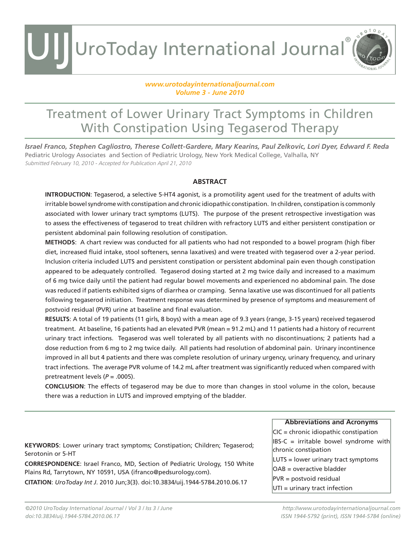#### *www.urotodayinternationaljournal.com Volume 3 - June 2010*

### Treatment of Lower Urinary Tract Symptoms in Children With Constipation Using Tegaserod Therapy

*Israel Franco, Stephen Cagliostro, Therese Collett-Gardere, Mary Kearins, Paul Zelkovic, Lori Dyer, Edward F. Reda* Pediatric Urology Associates and Section of Pediatric Urology, New York Medical College, Valhalla, NY Submitted February 10, 2010 - Accepted for Publication April 21, 2010

### **ABSTRACT**

**INTRODUCTION**: Tegaserod, a selective 5-HT4 agonist, is a promotility agent used for the treatment of adults with irritable bowel syndrome with constipation and chronic idiopathic constipation. In children, constipation is commonly associated with lower urinary tract symptoms (LUTS). The purpose of the present retrospective investigation was to assess the effectiveness of tegaserod to treat children with refractory LUTS and either persistent constipation or persistent abdominal pain following resolution of constipation.

**METHODS**: A chart review was conducted for all patients who had not responded to a bowel program (high fiber diet, increased fluid intake, stool softeners, senna laxatives) and were treated with tegaserod over a 2-year period. Inclusion criteria included LUTS and persistent constipation or persistent abdominal pain even though constipation appeared to be adequately controlled. Tegaserod dosing started at 2 mg twice daily and increased to a maximum of 6 mg twice daily until the patient had regular bowel movements and experienced no abdominal pain. The dose was reduced if patients exhibited signs of diarrhea or cramping. Senna laxative use was discontinued for all patients following tegaserod initiation. Treatment response was determined by presence of symptoms and measurement of postvoid residual (PVR) urine at baseline and final evaluation.

**RESULTS**: A total of 19 patients (11 girls, 8 boys) with a mean age of 9.3 years (range, 3-15 years) received tegaserod treatment. At baseline, 16 patients had an elevated PVR (mean = 91.2 mL) and 11 patients had a history of recurrent urinary tract infections. Tegaserod was well tolerated by all patients with no discontinuations; 2 patients had a dose reduction from 6 mg to 2 mg twice daily. All patients had resolution of abdominal pain. Urinary incontinence improved in all but 4 patients and there was complete resolution of urinary urgency, urinary frequency, and urinary tract infections. The average PVR volume of 14.2 mL after treatment was significantly reduced when compared with pretreatment levels (*P* = .0005).

**CONCLUSION**: The effects of tegaserod may be due to more than changes in stool volume in the colon, because there was a reduction in LUTS and improved emptying of the bladder.

**KEYWORDS**: Lower urinary tract symptoms; Constipation; Children; Tegaserod; Serotonin or 5-HT

**CORRESPONDENCE**: Israel Franco, MD, Section of Pediatric Urology, 150 White Plains Rd, Tarrytown, NY 10591, USA (ifranco@pedsurology.com).

**CITATION**: *UroToday Int J*. 2010 Jun;3(3). doi:10.3834/uij.1944-5784.2010.06.17

**Abbreviations and Acronyms**

ROTOD

CIC = chronic idiopathic constipation  $IBS-C = irritable$  bowel syndrome with chronic constipation LUTS = lower urinary tract symptoms OAB = overactive bladder PVR = postvoid residual UTI = urinary tract infection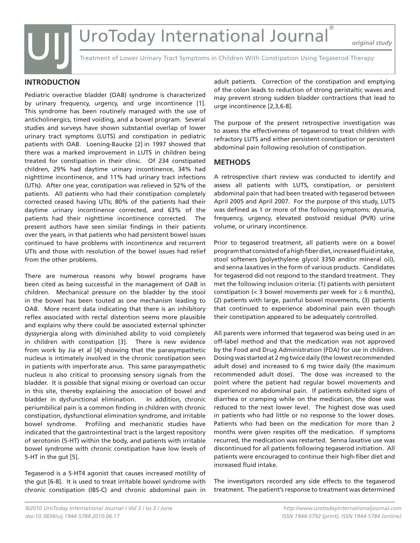*original study*

UIJ

Treatment of Lower Urinary Tract Symptoms in Children With Constipation Using Tegaserod Therapy

### **INTRODUCTION**

Pediatric overactive bladder (OAB) syndrome is characterized by urinary frequency, urgency, and urge incontinence [1]. This syndrome has been routinely managed with the use of anticholinergics, timed voiding, and a bowel program. Several studies and surveys have shown substantial overlap of lower urinary tract symptoms (LUTS) and constipation in pediatric patients with OAB. Loening-Baucke [2] in 1997 showed that there was a marked improvement in LUTS in children being treated for constipation in their clinic. Of 234 constipated children, 29% had daytime urinary incontinence, 34% had nighttime incontinence, and 11% had urinary tract infections (UTIs). After one year, constipation was relieved in 52% of the patients. All patients who had their constipation completely corrected ceased having UTIs; 80% of the patients had their daytime urinary incontinence corrected, and 63% of the patients had their nighttime incontinence corrected. The present authors have seen similar findings in their patients over the years, in that patients who had persistent bowel issues continued to have problems with incontinence and recurrent UTIs and those with resolution of the bowel issues had relief from the other problems.

There are numerous reasons why bowel programs have been cited as being successful in the management of OAB in children. Mechanical pressure on the bladder by the stool in the bowel has been touted as one mechanism leading to OAB. More recent data indicating that there is an inhibitory reflex associated with rectal distention seems more plausible and explains why there could be associated external sphincter dyssynergia along with diminished ability to void completely in children with constipation [3]. There is new evidence from work by Jia et al [4] showing that the parasympathetic nucleus is intimately involved in the chronic constipation seen in patients with imperforate anus. This same parasympathetic nucleus is also critical to processing sensory signals from the bladder. It is possible that signal mixing or overload can occur in this site, thereby explaining the association of bowel and bladder in dysfunctional elimination. In addition, chronic periumbilical pain is a common finding in children with chronic constipation, dysfunctional elimination syndrome, and irritable bowel syndrome. Profiling and mechanistic studies have indicated that the gastrointestinal tract is the largest repository of serotonin (5-HT) within the body, and patients with irritable bowel syndrome with chronic constipation have low levels of 5-HT in the gut [5].

Tegaserod is a 5-HT4 agonist that causes increased motility of the gut [6-8]. It is used to treat irritable bowel syndrome with chronic constipation (IBS-C) and chronic abdominal pain in

adult patients. Correction of the constipation and emptying of the colon leads to reduction of strong peristaltic waves and may prevent strong sudden bladder contractions that lead to urge incontinence [2,3,6-8].

The purpose of the present retrospective investigation was to assess the effectiveness of tegaserod to treat children with refractory LUTS and either persistent constipation or persistent abdominal pain following resolution of constipation.

### **METHODS**

A retrospective chart review was conducted to identify and assess all patients with LUTS, constipation, or persistent abdominal pain that had been treated with tegaserod between April 2005 and April 2007. For the purpose of this study, LUTS was defined as 1 or more of the following symptoms: dysuria, frequency, urgency, elevated postvoid residual (PVR) urine volume, or urinary incontinence.

Prior to tegaserod treatment, all patients were on a bowel program that consisted of a high fiber diet, increased fluid intake, stool softeners (polyethylene glycol 3350 and/or mineral oil), and senna laxatives in the form of various products. Candidates for tegaserod did not respond to the standard treatment. They met the following inclusion criteria: (1) patients with persistent constipation (< 3 bowel movements per week for  $\geq 6$  months), (2) patients with large, painful bowel movements, (3) patients that continued to experience abdominal pain even though their constipation appeared to be adequately controlled.

All parents were informed that tegaserod was being used in an off-label method and that the medication was not approved by the Food and Drug Administration (FDA) for use in children. Dosing was started at 2 mg twice daily (the lowest recommended adult dose) and increased to 6 mg twice daily (the maximum recommended adult dose). The dose was increased to the point where the patient had regular bowel movements and experienced no abdominal pain. If patients exhibited signs of diarrhea or cramping while on the medication, the dose was reduced to the next lower level. The highest dose was used in patients who had little or no response to the lower doses. Patients who had been on the medication for more than 2 months were given respites off the medication. If symptoms recurred, the medication was restarted. Senna laxative use was discontinued for all patients following tegaserod initiation. All patients were encouraged to continue their high-fiber diet and increased fluid intake.

The investigators recorded any side effects to the tegaserod treatment. The patient's response to treatment was determined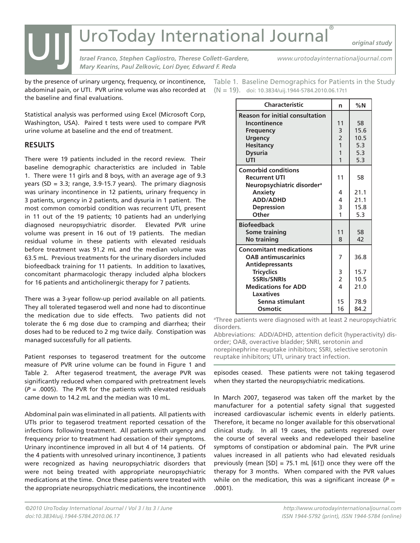*original study*

*Israel Franco, Stephen Cagliostro, Therese Collett-Gardere, Mary Kearins, Paul Zelkovic, Lori Dyer, Edward F. Reda*

by the presence of urinary urgency, frequency, or incontinence, abdominal pain, or UTI. PVR urine volume was also recorded at  $\pmod{\mathbb{N}} = 19$ . doi: 10.3834/uij.1944-5784.2010.06.17t1 the baseline and final evaluations.

Statistical analysis was performed using Excel (Microsoft Corp, Washington, USA). Paired t tests were used to compare PVR urine volume at baseline and the end of treatment.

### **RESULTS**

There were 19 patients included in the record review. Their baseline demographic characteristics are included in Table 1. There were 11 girls and 8 boys, with an average age of 9.3 years (SD = 3.3; range, 3.9-15.7 years). The primary diagnosis was urinary incontinence in 12 patients, urinary frequency in 3 patients, urgency in 2 patients, and dysuria in 1 patient. The most common comorbid condition was recurrent UTI, present in 11 out of the 19 patients; 10 patients had an underlying diagnosed neuropsychiatric disorder. Elevated PVR urine volume was present in 16 out of 19 patients. The median residual volume in these patients with elevated residuals before treatment was 91.2 mL and the median volume was 63.5 mL. Previous treatments for the urinary disorders included biofeedback training for 11 patients. In addition to laxatives, concomitant pharmacologic therapy included alpha blockers for 16 patients and anticholinergic therapy for 7 patients.

There was a 3-year follow-up period available on all patients. They all tolerated tegaserod well and none had to discontinue the medication due to side effects. Two patients did not tolerate the 6 mg dose due to cramping and diarrhea; their doses had to be reduced to 2 mg twice daily. Constipation was managed successfully for all patients.

Patient responses to tegaserod treatment for the outcome measure of PVR urine volume can be found in Figure 1 and Table 2. After tegaserod treatment, the average PVR was significantly reduced when compared with pretreatment levels (*P* = .0005). The PVR for the patients with elevated residuals came down to 14.2 mL and the median was 10 mL.

Abdominal pain was eliminated in all patients. All patients with UTIs prior to tegaserod treatment reported cessation of the infections following treatment. All patients with urgency and frequency prior to treatment had cessation of their symptoms. Urinary incontinence improved in all but 4 of 14 patients. Of the 4 patients with unresolved urinary incontinence, 3 patients were recognized as having neuropsychiatric disorders that were not being treated with appropriate neuropsychiatric medications at the time. Once these patients were treated with the appropriate neuropsychiatric medications, the incontinence

Table 1. Baseline Demographics for Patients in the Study

*www.urotodayinternationaljournal.com*

| Characteristic                                                                                                                                           | n                                                                             | %N                                      |
|----------------------------------------------------------------------------------------------------------------------------------------------------------|-------------------------------------------------------------------------------|-----------------------------------------|
| <b>Reason for initial consultation</b><br>Incontinence<br><b>Frequency</b><br><b>Urgency</b><br><b>Hesitancy</b><br><b>Dysuria</b><br>UTI                | 11<br>3<br>$\overline{2}$<br>$\overline{1}$<br>$\mathbf{1}$<br>$\overline{1}$ | 58<br>15.6<br>10.5<br>5.3<br>5.3<br>5.3 |
| <b>Comorbid conditions</b><br><b>Recurrent UTI</b><br>Neuropsychiatric disorder <sup>a</sup><br>Anxiety<br><b>ADD/ADHD</b><br><b>Depression</b><br>Other | 11<br>4<br>4<br>3<br>$\overline{1}$                                           | 58<br>21.1<br>21.1<br>15.8<br>5.3       |
| <b>Biofeedback</b><br><b>Some training</b><br><b>No training</b>                                                                                         | 11<br>8                                                                       | 58<br>42                                |
| <b>Concomitant medications</b><br><b>OAB</b> antimuscarinics<br><b>Antidepressants</b>                                                                   | 7                                                                             | 36.8                                    |
| <b>Tricyclics</b><br><b>SSRIs/SNRIs</b><br><b>Medications for ADD</b>                                                                                    | 3<br>$\overline{2}$<br>4                                                      | 15.7<br>10.5<br>21.0                    |
| <b>Laxatives</b><br>Senna stimulant<br>Osmotic                                                                                                           | 15<br>16                                                                      | 78.9<br>84.2                            |

a Three patients were diagnosed with at least 2 neuropsychiatric disorders.

Abbreviations: ADD/ADHD, attention deficit (hyperactivity) disorder; OAB, overactive bladder; SNRI, serotonin and norepinephrine reuptake inhibitors; SSRI, selective serotonin reuptake inhibitors; UTI, urinary tract infection.

episodes ceased. These patients were not taking tegaserod when they started the neuropsychiatric medications.

In March 2007, tegaserod was taken off the market by the manufacturer for a potential safety signal that suggested increased cardiovascular ischemic events in elderly patients. Therefore, it became no longer available for this observational clinical study. In all 19 cases, the patients regressed over the course of several weeks and redeveloped their baseline symptoms of constipation or abdominal pain. The PVR urine values increased in all patients who had elevated residuals previously (mean [SD] = 75.1 mL [61]) once they were off the therapy for 3 months. When compared with the PVR values while on the medication, this was a significant increase ( $P =$ .0001).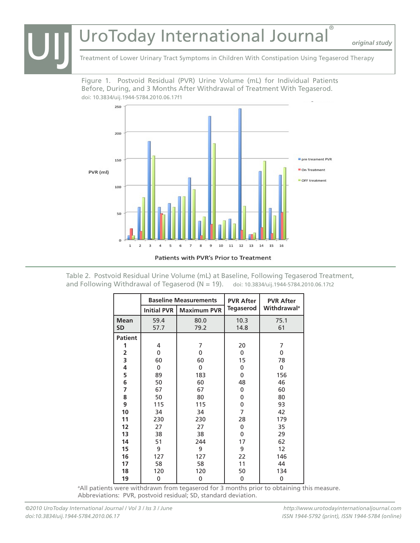*original study*

Treatment of Lower Urinary Tract Symptoms in Children With Constipation Using Tegaserod Therapy

Figure 1. Postvoid Residual (PVR) Urine Volume (mL) for Individual Patients Before, During, and 3 Months After Withdrawal of Treatment With Tegaserod. doi: 10.3834/uij.1944-5784.2010.06.17f1



Patients with PVR's Prior to Treatment

Table 2. Postvoid Residual Urine Volume (mL) at Baseline, Following Tegaserod Treatment, and Following Withdrawal of Tegaserod ( $N = 19$ ). doi: 10.3834/uij.1944-5784.2010.06.17t2

|                | <b>Baseline Measurements</b> |                    | <b>PVR After</b> | <b>PVR After</b>        |  |
|----------------|------------------------------|--------------------|------------------|-------------------------|--|
|                | <b>Initial PVR</b>           | <b>Maximum PVR</b> | Tegaserod        | Withdrawal <sup>a</sup> |  |
| <b>Mean</b>    | 59.4                         | 80.0               | 10.3             | 75.1                    |  |
| <b>SD</b>      | 57.7                         | 79.2               | 14.8             | 61                      |  |
| <b>Patient</b> |                              |                    |                  |                         |  |
| 1              | 4                            | 7                  | 20               | 7                       |  |
| 2              | 0                            | 0                  | 0                | 0                       |  |
| 3              | 60                           | 60                 | 15               | 78                      |  |
| 4              | 0                            | 0                  | 0                | 0                       |  |
| 5              | 89                           | 183                | 0                | 156                     |  |
| 6              | 50                           | 60                 | 48               | 46                      |  |
| 7              | 67                           | 67                 | 0                | 60                      |  |
| 8              | 50                           | 80                 | 0                | 80                      |  |
| 9              | 115                          | 115                | 0                | 93                      |  |
| 10             | 34                           | 34                 | 7                | 42                      |  |
| 11             | 230                          | 230                | 28               | 179                     |  |
| 12             | 27                           | 27                 | 0                | 35                      |  |
| 13             | 38                           | 38                 | $\mathbf 0$      | 29                      |  |
| 14             | 51                           | 244                | 17               | 62                      |  |
| 15             | 9                            | 9                  | 9                | 12                      |  |
| 16             | 127                          | 127                | 22               | 146                     |  |
| 17             | 58                           | 58                 | 11               | 44                      |  |
| 18             | 120                          | 120                | 50               | 134                     |  |
| 19             | 0                            | 0                  | 0                | 0                       |  |

<sup>a</sup> All patients were withdrawn from tegaserod for 3 months prior to obtaining this measure. Abbreviations: PVR, postvoid residual; SD, standard deviation.

UIJ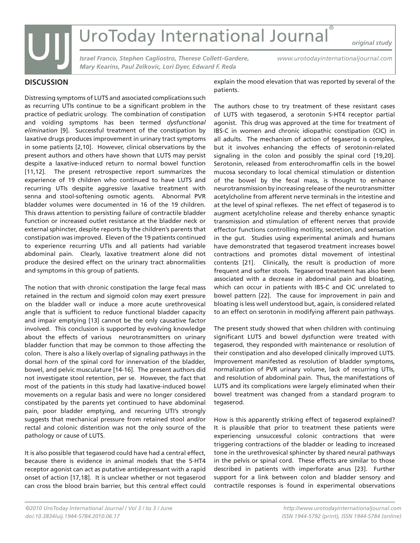*Israel Franco, Stephen Cagliostro, Therese Collett-Gardere, Mary Kearins, Paul Zelkovic, Lori Dyer, Edward F. Reda*

*www.urotodayinternationaljournal.com*

*original study*

#### **DISCUSSION**

UIJ

Distressing symptoms of LUTS and associated complications such as recurring UTIs continue to be a significant problem in the practice of pediatric urology. The combination of constipation and voiding symptoms has been termed *dysfunctional elimination* [9]. Successful treatment of the constipation by laxative drugs produces improvement in urinary tract symptoms in some patients [2,10]. However, clinical observations by the present authors and others have shown that LUTS may persist despite a laxative-induced return to normal bowel function [11,12]. The present retrospective report summarizes the experience of 19 children who continued to have LUTS and recurring UTIs despite aggressive laxative treatment with senna and stool-softening osmotic agents. Abnormal PVR bladder volumes were documented in 16 of the 19 children. This draws attention to persisting failure of contractile bladder function or increased outlet resistance at the bladder neck or external sphincter, despite reports by the children's parents that constipation was improved. Eleven of the 19 patients continued to experience recurring UTIs and all patients had variable abdominal pain. Clearly, laxative treatment alone did not produce the desired effect on the urinary tract abnormalities and symptoms in this group of patients.

The notion that with chronic constipation the large fecal mass retained in the rectum and sigmoid colon may exert pressure on the bladder wall or induce a more acute urethrovesical angle that is sufficient to reduce functional bladder capacity and impair emptying [13] cannot be the only causative factor involved. This conclusion is supported by evolving knowledge about the effects of various neurotransmitters on urinary bladder function that may be common to those affecting the colon. There is also a likely overlap of signaling pathways in the dorsal horn of the spinal cord for innervation of the bladder, bowel, and pelvic musculature [14-16]. The present authors did not investigate stool retention, per se. However, the fact that most of the patients in this study had laxative-induced bowel movements on a regular basis and were no longer considered constipated by the parents yet continued to have abdominal pain, poor bladder emptying, and recurring UTI's strongly suggests that mechanical pressure from retained stool and/or rectal and colonic distention was not the only source of the pathology or cause of LUTS.

It is also possible that tegaserod could have had a central effect, because there is evidence in animal models that the 5-HT4 receptor agonist can act as putative antidepressant with a rapid onset of action [17,18]. It is unclear whether or not tegaserod can cross the blood brain barrier, but this central effect could

explain the mood elevation that was reported by several of the patients.

The authors chose to try treatment of these resistant cases of LUTS with tegaserod, a serotonin 5-HT4 receptor partial agonist. This drug was approved at the time for treatment of IBS-C in women and chronic idiopathic constipation (CIC) in all adults. The mechanism of action of tegaserod is complex, but it involves enhancing the effects of serotonin-related signaling in the colon and possibly the spinal cord [19,20]. Serotonin, released from enterochromaffin cells in the bowel mucosa secondary to local chemical stimulation or distention of the bowel by the fecal mass, is thought to enhance neurotransmission by increasing release of the neurotransmitter acetylcholine from afferent nerve terminals in the intestine and at the level of spinal reflexes. The net effect of tegaserod is to augment acetylcholine release and thereby enhance synaptic transmission and stimulation of efferent nerves that provide effector functions controlling motility, secretion, and sensation in the gut. Studies using experimental animals and humans have demonstrated that tegaserod treatment increases bowel contractions and promotes distal movement of intestinal contents [21]. Clinically, the result is production of more frequent and softer stools. Tegaserod treatment has also been associated with a decrease in abdominal pain and bloating, which can occur in patients with IBS-C and CIC unrelated to bowel pattern [22]. The cause for improvement in pain and bloating is less well understood but, again, is considered related to an effect on serotonin in modifying afferent pain pathways.

The present study showed that when children with continuing significant LUTS and bowel dysfunction were treated with tegaserod, they responded with maintenance or resolution of their constipation and also developed clinically improved LUTS. Improvement manifested as resolution of bladder symptoms, normalization of PVR urinary volume, lack of recurring UTIs, and resolution of abdominal pain. Thus, the manifestations of LUTS and its complications were largely eliminated when their bowel treatment was changed from a standard program to tegaserod.

How is this apparently striking effect of tegaserod explained? It is plausible that prior to treatment these patients were experiencing unsuccessful colonic contractions that were triggering contractions of the bladder or leading to increased tone in the urethrovesical sphincter by shared neural pathways in the pelvis or spinal cord. These effects are similar to those described in patients with imperforate anus [23]. Further support for a link between colon and bladder sensory and contractile responses is found in experimental observations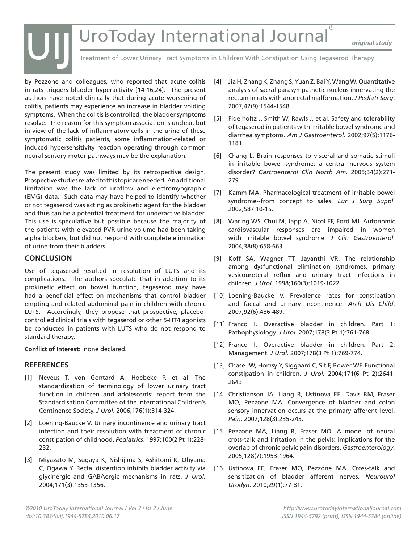*original study*

Treatment of Lower Urinary Tract Symptoms in Children With Constipation Using Tegaserod Therapy

by Pezzone and colleagues, who reported that acute colitis in rats triggers bladder hyperactivity [14-16,24]. The present authors have noted clinically that during acute worsening of colitis, patients may experience an increase in bladder voiding symptoms. When the colitis is controlled, the bladder symptoms resolve. The reason for this symptom association is unclear, but in view of the lack of inflammatory cells in the urine of these symptomatic colitis patients, some inflammation-related or induced hypersensitivity reaction operating through common neural sensory-motor pathways may be the explanation.

The present study was limited by its retrospective design. Prospective studies related to this topic are needed. An additional limitation was the lack of uroflow and electromyographic (EMG) data. Such data may have helped to identify whether or not tegaserod was acting as prokinetic agent for the bladder and thus can be a potential treatment for underactive bladder. This use is speculative but possible because the majority of the patients with elevated PVR urine volume had been taking alpha blockers, but did not respond with complete elimination of urine from their bladders.

### **CONCLUSION**

UIJ

Use of tegaserod resulted in resolution of LUTS and its complications. The authors speculate that in addition to its prokinetic effect on bowel function, tegaserod may have had a beneficial effect on mechanisms that control bladder empting and related abdominal pain in children with chronic LUTS. Accordingly, they propose that prospective, placebocontrolled clinical trials with tegaserod or other 5-HT4 agonists be conducted in patients with LUTS who do not respond to standard therapy.

**Conflict of Interest**: none declared.

### **REFERENCES**

- [1] Neveus T, von Gontard A, Hoebeke P, et al. The standardization of terminology of lower urinary tract function in children and adolescents: report from the Standardisation Committee of the International Children's Continence Society. *J Urol*. 2006;176(1):314-324.
- [2] Loening-Baucke V. Urinary incontinence and urinary tract infection and their resolution with treatment of chronic constipation of childhood. *Pediatrics*. 1997;100(2 Pt 1):228- 232.
- [3] Miyazato M, Sugaya K, Nishijima S, Ashitomi K, Ohyama C, Ogawa Y. Rectal distention inhibits bladder activity via glycinergic and GABAergic mechanisms in rats. *J Urol.*  2004;171(3):1353-1356.
- [4] Jia H, Zhang K, Zhang S, Yuan Z, Bai Y, Wang W. Quantitative analysis of sacral parasympathetic nucleus innervating the rectum in rats with anorectal malformation. *J Pediatr Surg*. 2007;42(9):1544-1548.
- [5] Fidelholtz J, Smith W, Rawls J, et al. Safety and tolerability of tegaserod in patients with irritable bowel syndrome and diarrhea symptoms. *Am J Gastroenterol*. 2002;97(5):1176- 1181.
- [6] Chang L. Brain responses to visceral and somatic stimuli in irritable bowel syndrome: a central nervous system disorder? *Gastroenterol Clin North Am*. 2005;34(2):271- 279.
- [7] Kamm MA. Pharmacological treatment of irritable bowel syndrome--from concept to sales. *Eur J Surg Suppl.*  2002;587:10-15.
- [8] Waring WS, Chui M, Japp A, Nicol EF, Ford MJ. Autonomic cardiovascular responses are impaired in women with irritable bowel syndrome. *J Clin Gastroenterol.*  2004;38(8):658-663.
- [9] Koff SA, Wagner TT, Jayanthi VR. The relationship among dysfunctional elimination syndromes, primary vesicoureteral reflux and urinary tract infections in children. *J Urol*. 1998;160(3):1019-1022.
- [10] Loening-Baucke V. Prevalence rates for constipation and faecal and urinary incontinence. *Arch Dis Child*. 2007;92(6):486-489.
- [11] Franco I. Overactive bladder in children. Part 1: Pathophysiology. *J Urol*. 2007;178(3 Pt 1):761-768.
- [12] Franco I. Overactive bladder in children. Part 2: Management. *J Urol*. 2007;178(3 Pt 1):769-774.
- [13] Chase JW, Homsy Y, Siggaard C, Sit F, Bower WF. Functional constipation in children. *J Urol.* 2004;171(6 Pt 2):2641- 2643.
- [14] Christianson JA, Liang R, Ustinova EE, Davis BM, Fraser MO, Pezzone MA. Convergence of bladder and colon sensory innervation occurs at the primary afferent level. *Pain*. 2007;128(3):235-243.
- [15] Pezzone MA, Liang R, Fraser MO. A model of neural cross-talk and irritation in the pelvis: implications for the overlap of chronic pelvic pain disorders. *Gastroenterology*. 2005;128(7):1953-1964.
- [16] Ustinova EE, Fraser MO, Pezzone MA. Cross-talk and sensitization of bladder afferent nerves. *Neurourol Urodyn*. 2010;29(1):77-81.